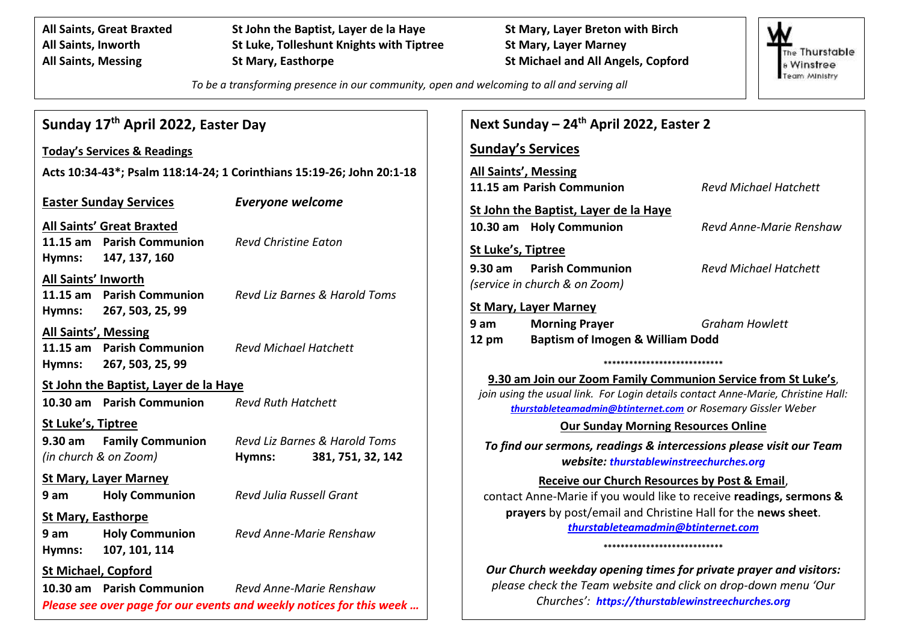**All Saints, Great Braxted St John the Baptist, Layer de la Haye St Mary, Layer Breton with Birch All Saints, Inworth St Luke, Tolleshunt Knights with Tiptree St Mary, Layer Marney All Saints, Messing St Mary, Easthorpe St Michael and All Angels, Copford**

The Thurstable **& Winstree** Team Ministry

*To be a transforming presence in our community, open and welcoming to all and serving all*

| Sunday 17 <sup>th</sup> April 2022, Easter Day                                                                                                             | Next Sunday - 24 <sup>th</sup> April 2022, Easter 2                                                                                                                                                                |
|------------------------------------------------------------------------------------------------------------------------------------------------------------|--------------------------------------------------------------------------------------------------------------------------------------------------------------------------------------------------------------------|
| <b>Today's Services &amp; Readings</b>                                                                                                                     | <b>Sunday's Services</b>                                                                                                                                                                                           |
| Acts 10:34-43*; Psalm 118:14-24; 1 Corinthians 15:19-26; John 20:1-18                                                                                      | All Saints', Messing                                                                                                                                                                                               |
| <b>Everyone welcome</b><br><b>Easter Sunday Services</b>                                                                                                   | 11.15 am Parish Communion<br><b>Revd Michael Hatchett</b><br>St John the Baptist, Layer de la Haye                                                                                                                 |
| <b>All Saints' Great Braxted</b><br>11.15 am Parish Communion<br><b>Revd Christine Eaton</b><br>147, 137, 160<br>Hymns:                                    | 10.30 am Holy Communion<br>Revd Anne-Marie Renshaw<br>St Luke's, Tiptree                                                                                                                                           |
| All Saints' Inworth<br>11.15 am Parish Communion<br><b>Revd Liz Barnes &amp; Harold Toms</b><br>267, 503, 25, 99<br>Hymns:                                 | $9.30$ am<br><b>Parish Communion</b><br><b>Revd Michael Hatchett</b><br>(service in church & on Zoom)<br><b>St Mary, Layer Marney</b>                                                                              |
| All Saints', Messing<br>11.15 am Parish Communion<br><b>Revd Michael Hatchett</b><br>267, 503, 25, 99<br>Hymns:                                            | <b>Morning Prayer</b><br><b>Graham Howlett</b><br>9 am<br><b>Baptism of Imogen &amp; William Dodd</b><br>$12 \text{ pm}$<br>****************************                                                           |
| St John the Baptist, Layer de la Haye<br>10.30 am Parish Communion<br><b>Revd Ruth Hatchett</b>                                                            | 9.30 am Join our Zoom Family Communion Service from St Luke's,<br>join using the usual link. For Login details contact Anne-Marie, Christine Hall:<br>thurstableteamadmin@btinternet.com or Rosemary Gissler Weber |
| St Luke's, Tiptree<br><b>Family Communion</b><br>Revd Liz Barnes & Harold Toms<br>9.30 am<br>(in church & on Zoom)<br>Hymns:                               | <b>Our Sunday Morning Resources Online</b><br>To find our sermons, readings & intercessions please visit our Team<br>381, 751, 32, 142<br>website: thurstablewinstreechurches.org                                  |
| <b>St Mary, Layer Marney</b><br><b>Revd Julia Russell Grant</b><br><b>Holy Communion</b><br>9 am<br><b>St Mary, Easthorpe</b>                              | Receive our Church Resources by Post & Email,<br>contact Anne-Marie if you would like to receive readings, sermons &<br>prayers by post/email and Christine Hall for the news sheet.                               |
| <b>Holy Communion</b><br>Revd Anne-Marie Renshaw<br>9 <sub>am</sub><br>107, 101, 114<br>Hymns:                                                             | thurstableteamadmin@btinternet.com<br>****************************                                                                                                                                                 |
| <b>St Michael, Copford</b><br>10.30 am Parish Communion<br>Revd Anne-Marie Renshaw<br>Please see over page for our events and weekly notices for this week | Our Church weekday opening times for private prayer and visitors:<br>please check the Team website and click on drop-down menu 'Our<br>Churches': https://thurstablewinstreechurches.org                           |